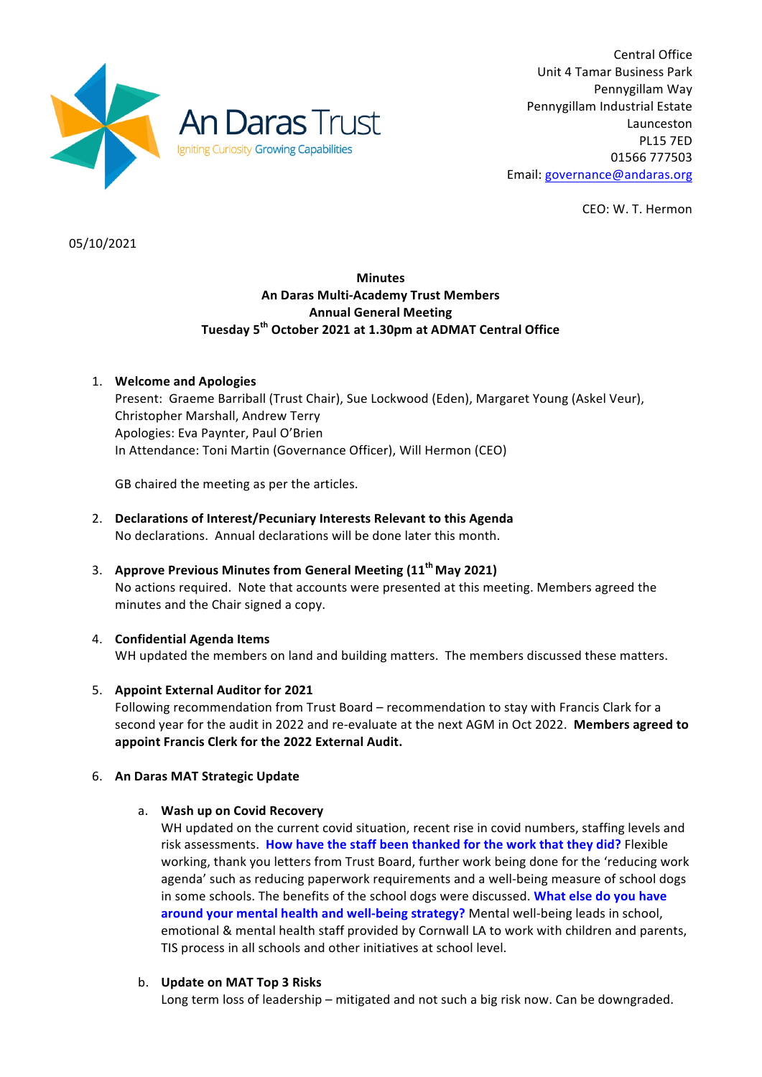

Central Office Unit 4 Tamar Business Park Pennygillam Way Pennygillam Industrial Estate Launceston PL15 7ED 01566 777503 Email: governance@andaras.org

CEO: W. T. Hermon

05/10/2021

## **Minutes An Daras Multi-Academy Trust Members Annual General Meeting Tuesday 5th October 2021 at 1.30pm at ADMAT Central Office**

# 1. **Welcome and Apologies** Present: Graeme Barriball (Trust Chair), Sue Lockwood (Eden), Margaret Young (Askel Veur),

Christopher Marshall, Andrew Terry Apologies: Eva Paynter, Paul O'Brien In Attendance: Toni Martin (Governance Officer), Will Hermon (CEO)

GB chaired the meeting as per the articles.

- 2. Declarations of Interest/Pecuniary Interests Relevant to this Agenda No declarations. Annual declarations will be done later this month.
- 3. **Approve Previous Minutes from General Meeting (11<sup>th</sup> May 2021)** No actions required. Note that accounts were presented at this meeting. Members agreed the minutes and the Chair signed a copy.

## 4. **Confidential Agenda Items**

WH updated the members on land and building matters. The members discussed these matters.

## 5. **Appoint External Auditor for 2021**

Following recommendation from Trust Board – recommendation to stay with Francis Clark for a second year for the audit in 2022 and re-evaluate at the next AGM in Oct 2022. **Members agreed to** appoint Francis Clerk for the 2022 External Audit.

### 6. **An Daras MAT Strategic Update**

### a. **Wash up on Covid Recovery**

WH updated on the current covid situation, recent rise in covid numbers, staffing levels and risk assessments. How have the staff been thanked for the work that they did? Flexible working, thank you letters from Trust Board, further work being done for the 'reducing work agenda' such as reducing paperwork requirements and a well-being measure of school dogs in some schools. The benefits of the school dogs were discussed. What else do you have around your mental health and well-being strategy? Mental well-being leads in school, emotional & mental health staff provided by Cornwall LA to work with children and parents, TIS process in all schools and other initiatives at school level.

## b. **Update on MAT Top 3 Risks**

Long term loss of leadership – mitigated and not such a big risk now. Can be downgraded.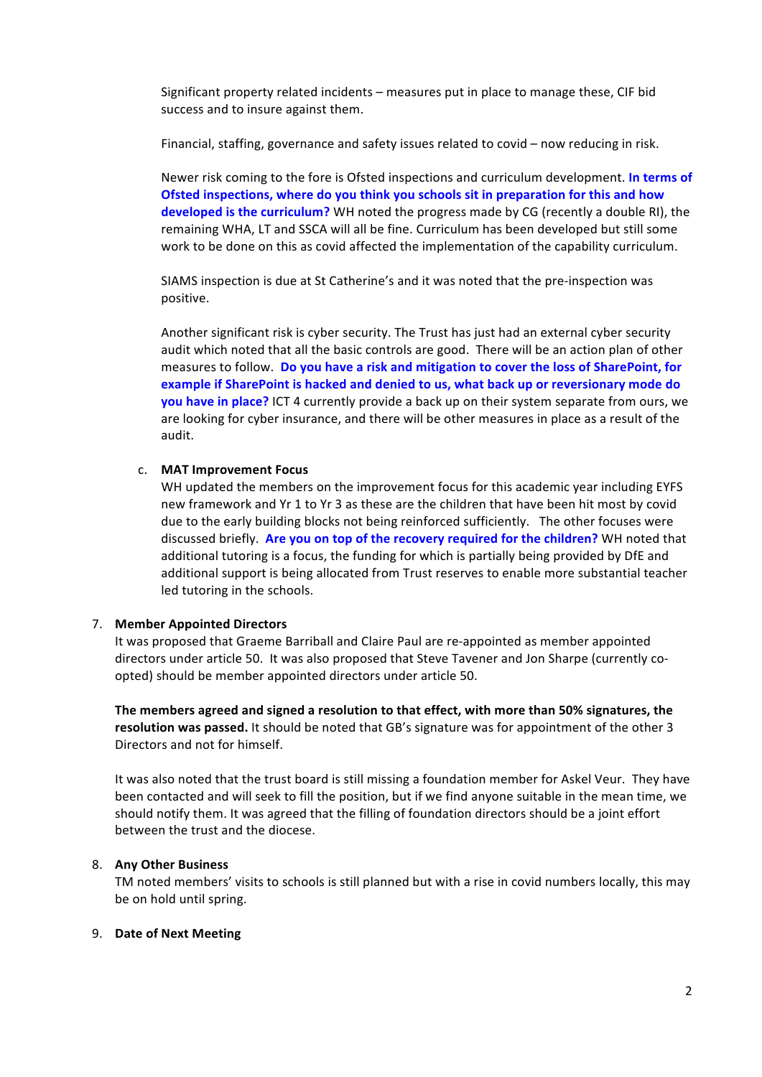Significant property related incidents – measures put in place to manage these, CIF bid success and to insure against them.

Financial, staffing, governance and safety issues related to covid – now reducing in risk.

Newer risk coming to the fore is Ofsted inspections and curriculum development. In terms of **Ofsted inspections, where do you think you schools sit in preparation for this and how developed is the curriculum?** WH noted the progress made by CG (recently a double RI), the remaining WHA, LT and SSCA will all be fine. Curriculum has been developed but still some work to be done on this as covid affected the implementation of the capability curriculum.

SIAMS inspection is due at St Catherine's and it was noted that the pre-inspection was positive. 

Another significant risk is cyber security. The Trust has just had an external cyber security audit which noted that all the basic controls are good. There will be an action plan of other measures to follow. Do you have a risk and mitigation to cover the loss of SharePoint, for example if SharePoint is hacked and denied to us, what back up or reversionary mode do **you have in place?** ICT 4 currently provide a back up on their system separate from ours, we are looking for cyber insurance, and there will be other measures in place as a result of the audit. 

#### c. **MAT Improvement Focus**

WH updated the members on the improvement focus for this academic vear including EYFS new framework and Yr 1 to Yr 3 as these are the children that have been hit most by covid due to the early building blocks not being reinforced sufficiently. The other focuses were discussed briefly. Are you on top of the recovery required for the children? WH noted that additional tutoring is a focus, the funding for which is partially being provided by DfE and additional support is being allocated from Trust reserves to enable more substantial teacher led tutoring in the schools.

#### 7. **Member Appointed Directors**

It was proposed that Graeme Barriball and Claire Paul are re-appointed as member appointed directors under article 50. It was also proposed that Steve Tavener and Jon Sharpe (currently coopted) should be member appointed directors under article 50.

The members agreed and signed a resolution to that effect, with more than 50% signatures, the **resolution was passed.** It should be noted that GB's signature was for appointment of the other 3 Directors and not for himself.

It was also noted that the trust board is still missing a foundation member for Askel Veur. They have been contacted and will seek to fill the position, but if we find anyone suitable in the mean time, we should notify them. It was agreed that the filling of foundation directors should be a joint effort between the trust and the diocese.

#### 8. **Any Other Business**

TM noted members' visits to schools is still planned but with a rise in covid numbers locally, this may be on hold until spring.

#### 9. **Date of Next Meeting**